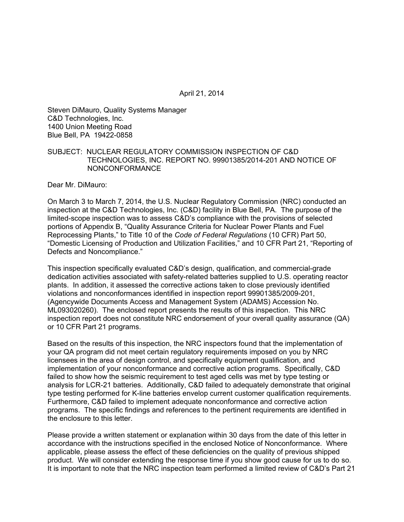Steven DiMauro, Quality Systems Manager C&D Technologies, Inc. 1400 Union Meeting Road Blue Bell, PA 19422-0858

#### SUBJECT: NUCLEAR REGULATORY COMMISSION INSPECTION OF C&D TECHNOLOGIES, INC. REPORT NO. 99901385/2014-201 AND NOTICE OF NONCONFORMANCE

Dear Mr. DiMauro:

On March 3 to March 7, 2014, the U.S. Nuclear Regulatory Commission (NRC) conducted an inspection at the C&D Technologies, Inc. (C&D) facility in Blue Bell, PA. The purpose of the limited-scope inspection was to assess C&D's compliance with the provisions of selected portions of Appendix B, "Quality Assurance Criteria for Nuclear Power Plants and Fuel Reprocessing Plants," to Title 10 of the *Code of Federal Regulations* (10 CFR) Part 50, "Domestic Licensing of Production and Utilization Facilities," and 10 CFR Part 21, "Reporting of Defects and Noncompliance."

This inspection specifically evaluated C&D's design, qualification, and commercial-grade dedication activities associated with safety-related batteries supplied to U.S. operating reactor plants. In addition, it assessed the corrective actions taken to close previously identified violations and nonconformances identified in inspection report 99901385/2009-201, (Agencywide Documents Access and Management System (ADAMS) Accession No. ML093020260). The enclosed report presents the results of this inspection. This NRC inspection report does not constitute NRC endorsement of your overall quality assurance (QA) or 10 CFR Part 21 programs.

Based on the results of this inspection, the NRC inspectors found that the implementation of your QA program did not meet certain regulatory requirements imposed on you by NRC licensees in the area of design control, and specifically equipment qualification, and implementation of your nonconformance and corrective action programs. Specifically, C&D failed to show how the seismic requirement to test aged cells was met by type testing or analysis for LCR-21 batteries. Additionally, C&D failed to adequately demonstrate that original type testing performed for K-line batteries envelop current customer qualification requirements. Furthermore, C&D failed to implement adequate nonconformance and corrective action programs. The specific findings and references to the pertinent requirements are identified in the enclosure to this letter.

Please provide a written statement or explanation within 30 days from the date of this letter in accordance with the instructions specified in the enclosed Notice of Nonconformance. Where applicable, please assess the effect of these deficiencies on the quality of previous shipped product. We will consider extending the response time if you show good cause for us to do so. It is important to note that the NRC inspection team performed a limited review of C&D's Part 21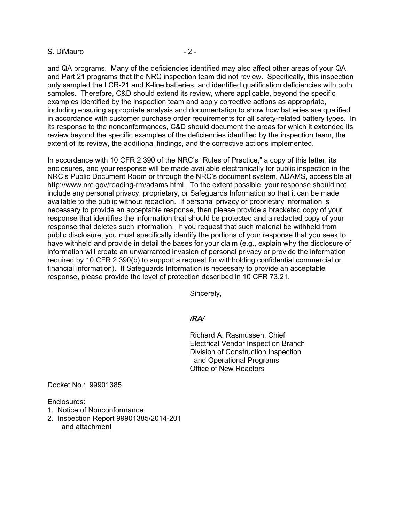#### S. DiMauro - 2 -

and QA programs. Many of the deficiencies identified may also affect other areas of your QA and Part 21 programs that the NRC inspection team did not review. Specifically, this inspection only sampled the LCR-21 and K-line batteries, and identified qualification deficiencies with both samples. Therefore, C&D should extend its review, where applicable, beyond the specific examples identified by the inspection team and apply corrective actions as appropriate, including ensuring appropriate analysis and documentation to show how batteries are qualified in accordance with customer purchase order requirements for all safety-related battery types. In its response to the nonconformances, C&D should document the areas for which it extended its review beyond the specific examples of the deficiencies identified by the inspection team, the extent of its review, the additional findings, and the corrective actions implemented.

In accordance with 10 CFR 2.390 of the NRC's "Rules of Practice," a copy of this letter, its enclosures, and your response will be made available electronically for public inspection in the NRC's Public Document Room or through the NRC's document system, ADAMS, accessible at http://www.nrc.gov/reading-rm/adams.html. To the extent possible, your response should not include any personal privacy, proprietary, or Safeguards Information so that it can be made available to the public without redaction. If personal privacy or proprietary information is necessary to provide an acceptable response, then please provide a bracketed copy of your response that identifies the information that should be protected and a redacted copy of your response that deletes such information. If you request that such material be withheld from public disclosure, you must specifically identify the portions of your response that you seek to have withheld and provide in detail the bases for your claim (e.g., explain why the disclosure of information will create an unwarranted invasion of personal privacy or provide the information required by 10 CFR 2.390(b) to support a request for withholding confidential commercial or financial information). If Safeguards Information is necessary to provide an acceptable response, please provide the level of protection described in 10 CFR 73.21.

Sincerely,

#### */RA/*

Richard A. Rasmussen, Chief Electrical Vendor Inspection Branch Division of Construction Inspection and Operational Programs Office of New Reactors

Docket No.: 99901385

Enclosures:

- 1. Notice of Nonconformance
- 2. Inspection Report 99901385/2014-201 and attachment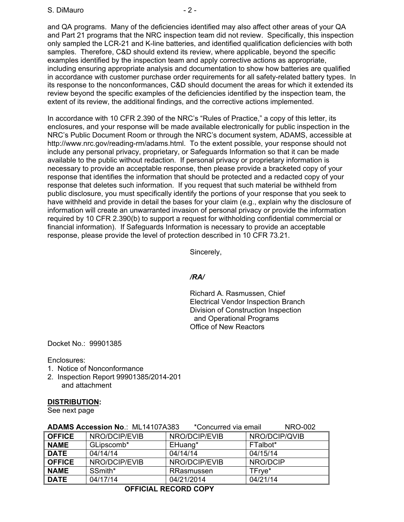and QA programs. Many of the deficiencies identified may also affect other areas of your QA and Part 21 programs that the NRC inspection team did not review. Specifically, this inspection only sampled the LCR-21 and K-line batteries, and identified qualification deficiencies with both samples. Therefore, C&D should extend its review, where applicable, beyond the specific examples identified by the inspection team and apply corrective actions as appropriate, including ensuring appropriate analysis and documentation to show how batteries are qualified in accordance with customer purchase order requirements for all safety-related battery types. In its response to the nonconformances, C&D should document the areas for which it extended its review beyond the specific examples of the deficiencies identified by the inspection team, the extent of its review, the additional findings, and the corrective actions implemented.

In accordance with 10 CFR 2.390 of the NRC's "Rules of Practice," a copy of this letter, its enclosures, and your response will be made available electronically for public inspection in the NRC's Public Document Room or through the NRC's document system, ADAMS, accessible at http://www.nrc.gov/reading-rm/adams.html. To the extent possible, your response should not include any personal privacy, proprietary, or Safeguards Information so that it can be made available to the public without redaction. If personal privacy or proprietary information is necessary to provide an acceptable response, then please provide a bracketed copy of your response that identifies the information that should be protected and a redacted copy of your response that deletes such information. If you request that such material be withheld from public disclosure, you must specifically identify the portions of your response that you seek to have withheld and provide in detail the bases for your claim (e.g., explain why the disclosure of information will create an unwarranted invasion of personal privacy or provide the information required by 10 CFR 2.390(b) to support a request for withholding confidential commercial or financial information). If Safeguards Information is necessary to provide an acceptable response, please provide the level of protection described in 10 CFR 73.21.

Sincerely,

## */RA/*

Richard A. Rasmussen, Chief Electrical Vendor Inspection Branch Division of Construction Inspection and Operational Programs Office of New Reactors

Docket No.: 99901385

Enclosures:

- 1. Notice of Nonconformance
- 2. Inspection Report 99901385/2014-201 and attachment

## **DISTRIBUTION:**

See next page

| <b>ADAMS Accession No.: ML14107A383</b><br>*Concurred via email |               |               | <b>NRO-002</b> |
|-----------------------------------------------------------------|---------------|---------------|----------------|
| <b>OFFICE</b>                                                   | NRO/DCIP/EVIB | NRO/DCIP/EVIB | NRO/DCIP/QVIB  |
| <b>NAME</b>                                                     | GLipscomb*    | EHuang*       | FTalbot*       |
| <b>DATE</b>                                                     | 04/14/14      | 04/14/14      | 04/15/14       |
| <b>OFFICE</b>                                                   | NRO/DCIP/EVIB | NRO/DCIP/EVIB | NRO/DCIP       |
| <b>NAME</b>                                                     | SSmith*       | RRasmussen    | TFrye*         |
| <b>DATE</b>                                                     | 04/17/14      | 04/21/2014    | 04/21/14       |

# **OFFICIAL RECORD COPY**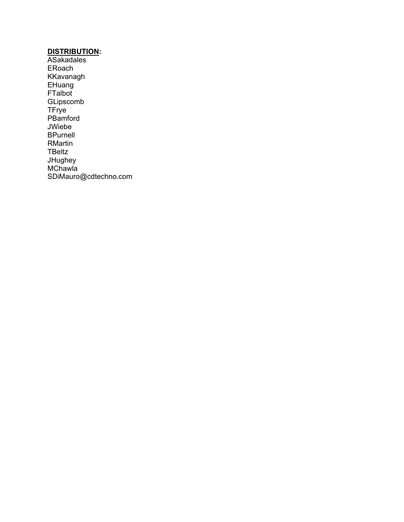#### **DISTRIBUTION:**

ASakadales ERoach KKavanagh EHuang **FTalbot** GLipscomb TFrye PBamford JWiebe BPurnell RMartin TBeltz **JHughey MChawla** SDiMauro@cdtechno.com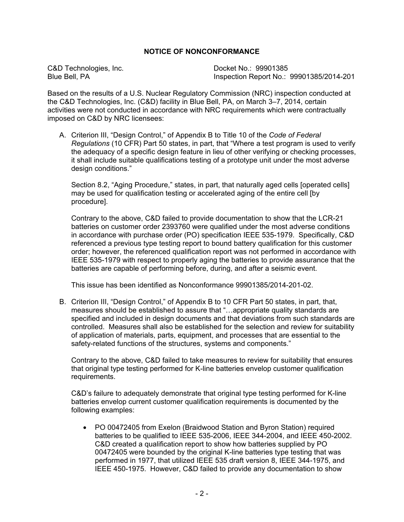## **NOTICE OF NONCONFORMANCE**

C&D Technologies, Inc. C&D Technologies, Inc.<br>Blue Bell. PA and Docket No.: 09901385

Inspection Report No.: 99901385/2014-201

Based on the results of a U.S. Nuclear Regulatory Commission (NRC) inspection conducted at the C&D Technologies, Inc. (C&D) facility in Blue Bell, PA, on March 3–7, 2014, certain activities were not conducted in accordance with NRC requirements which were contractually imposed on C&D by NRC licensees:

A. Criterion III, "Design Control," of Appendix B to Title 10 of the *Code of Federal Regulations* (10 CFR) Part 50 states, in part, that "Where a test program is used to verify the adequacy of a specific design feature in lieu of other verifying or checking processes, it shall include suitable qualifications testing of a prototype unit under the most adverse design conditions."

Section 8.2, "Aging Procedure," states, in part, that naturally aged cells [operated cells] may be used for qualification testing or accelerated aging of the entire cell [by procedure].

Contrary to the above, C&D failed to provide documentation to show that the LCR-21 batteries on customer order 2393760 were qualified under the most adverse conditions in accordance with purchase order (PO) specification IEEE 535-1979. Specifically, C&D referenced a previous type testing report to bound battery qualification for this customer order; however, the referenced qualification report was not performed in accordance with IEEE 535-1979 with respect to properly aging the batteries to provide assurance that the batteries are capable of performing before, during, and after a seismic event.

This issue has been identified as Nonconformance 99901385/2014-201-02.

B. Criterion III, "Design Control," of Appendix B to 10 CFR Part 50 states, in part, that, measures should be established to assure that "…appropriate quality standards are specified and included in design documents and that deviations from such standards are controlled. Measures shall also be established for the selection and review for suitability of application of materials, parts, equipment, and processes that are essential to the safety-related functions of the structures, systems and components."

Contrary to the above, C&D failed to take measures to review for suitability that ensures that original type testing performed for K-line batteries envelop customer qualification requirements.

C&D's failure to adequately demonstrate that original type testing performed for K-line batteries envelop current customer qualification requirements is documented by the following examples:

• PO 00472405 from Exelon (Braidwood Station and Byron Station) required batteries to be qualified to IEEE 535-2006, IEEE 344-2004, and IEEE 450-2002. C&D created a qualification report to show how batteries supplied by PO 00472405 were bounded by the original K-line batteries type testing that was performed in 1977, that utilized IEEE 535 draft version 8, IEEE 344-1975, and IEEE 450-1975. However, C&D failed to provide any documentation to show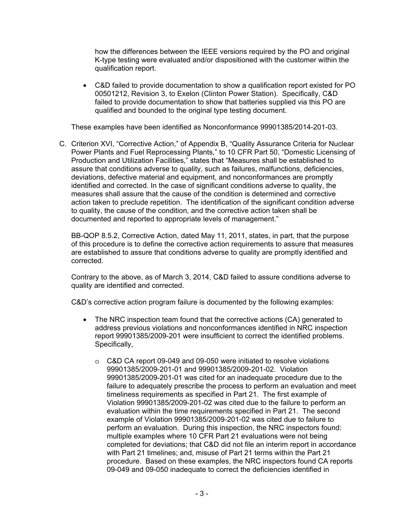how the differences between the IEEE versions required by the PO and original K-type testing were evaluated and/or dispositioned with the customer within the qualification report.

• C&D failed to provide documentation to show a qualification report existed for PO 00501212, Revision 3, to Exelon (Clinton Power Station). Specifically, C&D failed to provide documentation to show that batteries supplied via this PO are qualified and bounded to the original type testing document.

These examples have been identified as Nonconformance 99901385/2014-201-03.

C. Criterion XVI, "Corrective Action," of Appendix B, "Quality Assurance Criteria for Nuclear Power Plants and Fuel Reprocessing Plants," to 10 CFR Part 50, "Domestic Licensing of Production and Utilization Facilities," states that "Measures shall be established to assure that conditions adverse to quality, such as failures, malfunctions, deficiencies, deviations, defective material and equipment, and nonconformances are promptly identified and corrected. In the case of significant conditions adverse to quality, the measures shall assure that the cause of the condition is determined and corrective action taken to preclude repetition. The identification of the significant condition adverse to quality, the cause of the condition, and the corrective action taken shall be documented and reported to appropriate levels of management."

BB-QOP 8.5.2, Corrective Action, dated May 11, 2011, states, in part, that the purpose of this procedure is to define the corrective action requirements to assure that measures are established to assure that conditions adverse to quality are promptly identified and corrected.

Contrary to the above, as of March 3, 2014, C&D failed to assure conditions adverse to quality are identified and corrected.

C&D's corrective action program failure is documented by the following examples:

- The NRC inspection team found that the corrective actions (CA) generated to address previous violations and nonconformances identified in NRC inspection report 99901385/2009-201 were insufficient to correct the identified problems. Specifically,
	- o C&D CA report 09-049 and 09-050 were initiated to resolve violations 99901385/2009-201-01 and 99901385/2009-201-02. Violation 99901385/2009-201-01 was cited for an inadequate procedure due to the failure to adequately prescribe the process to perform an evaluation and meet timeliness requirements as specified in Part 21. The first example of Violation 99901385/2009-201-02 was cited due to the failure to perform an evaluation within the time requirements specified in Part 21. The second example of Violation 99901385/2009-201-02 was cited due to failure to perform an evaluation. During this inspection, the NRC inspectors found: multiple examples where 10 CFR Part 21 evaluations were not being completed for deviations; that C&D did not file an interim report in accordance with Part 21 timelines; and, misuse of Part 21 terms within the Part 21 procedure. Based on these examples, the NRC inspectors found CA reports 09-049 and 09-050 inadequate to correct the deficiencies identified in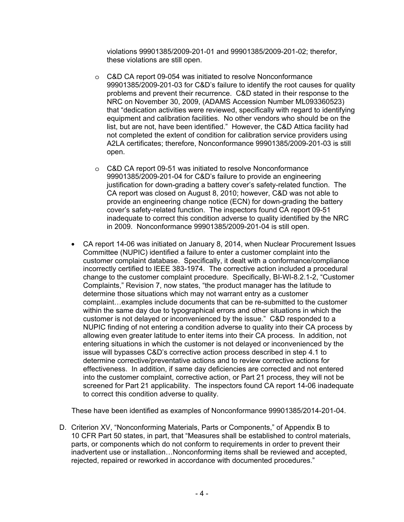violations 99901385/2009-201-01 and 99901385/2009-201-02; therefor, these violations are still open.

- o C&D CA report 09-054 was initiated to resolve Nonconformance 99901385/2009-201-03 for C&D's failure to identify the root causes for quality problems and prevent their recurrence. C&D stated in their response to the NRC on November 30, 2009, (ADAMS Accession Number ML093360523) that "dedication activities were reviewed, specifically with regard to identifying equipment and calibration facilities. No other vendors who should be on the list, but are not, have been identified." However, the C&D Attica facility had not completed the extent of condition for calibration service providers using A2LA certificates; therefore, Nonconformance 99901385/2009-201-03 is still open.
- o C&D CA report 09-51 was initiated to resolve Nonconformance 99901385/2009-201-04 for C&D's failure to provide an engineering justification for down-grading a battery cover's safety-related function. The CA report was closed on August 8, 2010; however, C&D was not able to provide an engineering change notice (ECN) for down-grading the battery cover's safety-related function. The inspectors found CA report 09-51 inadequate to correct this condition adverse to quality identified by the NRC in 2009. Nonconformance 99901385/2009-201-04 is still open.
- CA report 14-06 was initiated on January 8, 2014, when Nuclear Procurement Issues Committee (NUPIC) identified a failure to enter a customer complaint into the customer complaint database. Specifically, it dealt with a conformance/compliance incorrectly certified to IEEE 383-1974. The corrective action included a procedural change to the customer complaint procedure. Specifically, BI-WI-8.2.1-2, "Customer Complaints," Revision 7, now states, "the product manager has the latitude to determine those situations which may not warrant entry as a customer complaint…examples include documents that can be re-submitted to the customer within the same day due to typographical errors and other situations in which the customer is not delayed or inconvenienced by the issue." C&D responded to a NUPIC finding of not entering a condition adverse to quality into their CA process by allowing even greater latitude to enter items into their CA process. In addition, not entering situations in which the customer is not delayed or inconvenienced by the issue will bypasses C&D's corrective action process described in step 4.1 to determine corrective/preventative actions and to review corrective actions for effectiveness. In addition, if same day deficiencies are corrected and not entered into the customer complaint, corrective action, or Part 21 process, they will not be screened for Part 21 applicability. The inspectors found CA report 14-06 inadequate to correct this condition adverse to quality.

These have been identified as examples of Nonconformance 99901385/2014-201-04.

D. Criterion XV, "Nonconforming Materials, Parts or Components," of Appendix B to 10 CFR Part 50 states, in part, that "Measures shall be established to control materials, parts, or components which do not conform to requirements in order to prevent their inadvertent use or installation…Nonconforming items shall be reviewed and accepted, rejected, repaired or reworked in accordance with documented procedures."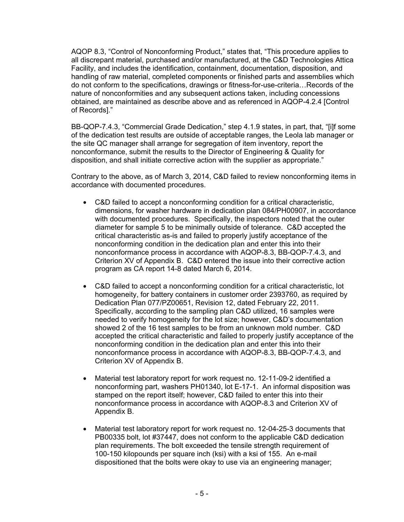AQOP 8.3, "Control of Nonconforming Product," states that, "This procedure applies to all discrepant material, purchased and/or manufactured, at the C&D Technologies Attica Facility, and includes the identification, containment, documentation, disposition, and handling of raw material, completed components or finished parts and assemblies which do not conform to the specifications, drawings or fitness-for-use-criteria…Records of the nature of nonconformities and any subsequent actions taken, including concessions obtained, are maintained as describe above and as referenced in AQOP-4.2.4 [Control of Records]."

BB-QOP-7.4.3, "Commercial Grade Dedication," step 4.1.9 states, in part, that, "[i]f some of the dedication test results are outside of acceptable ranges, the Leola lab manager or the site QC manager shall arrange for segregation of item inventory, report the nonconformance, submit the results to the Director of Engineering & Quality for disposition, and shall initiate corrective action with the supplier as appropriate."

Contrary to the above, as of March 3, 2014, C&D failed to review nonconforming items in accordance with documented procedures.

- C&D failed to accept a nonconforming condition for a critical characteristic, dimensions, for washer hardware in dedication plan 084/PH00907, in accordance with documented procedures. Specifically, the inspectors noted that the outer diameter for sample 5 to be minimally outside of tolerance. C&D accepted the critical characteristic as-is and failed to properly justify acceptance of the nonconforming condition in the dedication plan and enter this into their nonconformance process in accordance with AQOP-8.3, BB-QOP-7.4.3, and Criterion XV of Appendix B. C&D entered the issue into their corrective action program as CA report 14-8 dated March 6, 2014.
- C&D failed to accept a nonconforming condition for a critical characteristic, lot homogeneity, for battery containers in customer order 2393760, as required by Dedication Plan 077/PZ00651, Revision 12, dated February 22, 2011. Specifically, according to the sampling plan C&D utilized, 16 samples were needed to verify homogeneity for the lot size; however, C&D's documentation showed 2 of the 16 test samples to be from an unknown mold number. C&D accepted the critical characteristic and failed to properly justify acceptance of the nonconforming condition in the dedication plan and enter this into their nonconformance process in accordance with AQOP-8.3, BB-QOP-7.4.3, and Criterion XV of Appendix B.
- Material test laboratory report for work request no. 12-11-09-2 identified a nonconforming part, washers PH01340, lot E-17-1. An informal disposition was stamped on the report itself; however, C&D failed to enter this into their nonconformance process in accordance with AQOP-8.3 and Criterion XV of Appendix B.
- Material test laboratory report for work request no. 12-04-25-3 documents that PB00335 bolt, lot #37447, does not conform to the applicable C&D dedication plan requirements. The bolt exceeded the tensile strength requirement of 100-150 kilopounds per square inch (ksi) with a ksi of 155. An e-mail dispositioned that the bolts were okay to use via an engineering manager;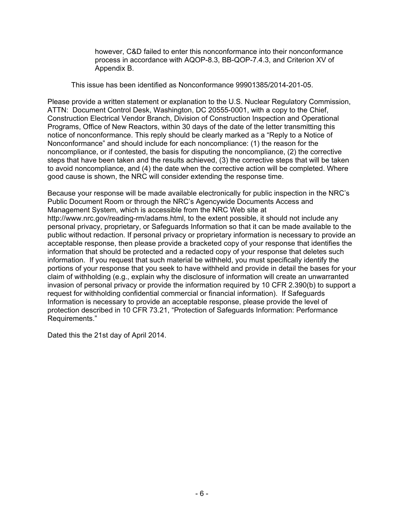however, C&D failed to enter this nonconformance into their nonconformance process in accordance with AQOP-8.3, BB-QOP-7.4.3, and Criterion XV of Appendix B.

This issue has been identified as Nonconformance 99901385/2014-201-05.

Please provide a written statement or explanation to the U.S. Nuclear Regulatory Commission, ATTN: Document Control Desk, Washington, DC 20555-0001, with a copy to the Chief, Construction Electrical Vendor Branch, Division of Construction Inspection and Operational Programs, Office of New Reactors, within 30 days of the date of the letter transmitting this notice of nonconformance. This reply should be clearly marked as a "Reply to a Notice of Nonconformance" and should include for each noncompliance: (1) the reason for the noncompliance, or if contested, the basis for disputing the noncompliance, (2) the corrective steps that have been taken and the results achieved, (3) the corrective steps that will be taken to avoid noncompliance, and (4) the date when the corrective action will be completed. Where good cause is shown, the NRC will consider extending the response time.

Because your response will be made available electronically for public inspection in the NRC's Public Document Room or through the NRC's Agencywide Documents Access and Management System, which is accessible from the NRC Web site at http://www.nrc.gov/reading-rm/adams.html, to the extent possible, it should not include any personal privacy, proprietary, or Safeguards Information so that it can be made available to the public without redaction. If personal privacy or proprietary information is necessary to provide an acceptable response, then please provide a bracketed copy of your response that identifies the information that should be protected and a redacted copy of your response that deletes such information. If you request that such material be withheld, you must specifically identify the portions of your response that you seek to have withheld and provide in detail the bases for your claim of withholding (e.g., explain why the disclosure of information will create an unwarranted invasion of personal privacy or provide the information required by 10 CFR 2.390(b) to support a request for withholding confidential commercial or financial information). If Safeguards Information is necessary to provide an acceptable response, please provide the level of protection described in 10 CFR 73.21, "Protection of Safeguards Information: Performance Requirements."

Dated this the 21st day of April 2014.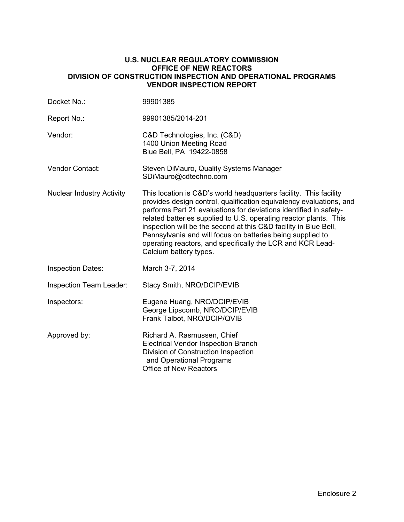#### **U.S. NUCLEAR REGULATORY COMMISSION OFFICE OF NEW REACTORS DIVISION OF CONSTRUCTION INSPECTION AND OPERATIONAL PROGRAMS VENDOR INSPECTION REPORT**

| Docket No.:                      | 99901385                                                                                                                                                                                                                                                                                                                                                                                                                                                                                                     |
|----------------------------------|--------------------------------------------------------------------------------------------------------------------------------------------------------------------------------------------------------------------------------------------------------------------------------------------------------------------------------------------------------------------------------------------------------------------------------------------------------------------------------------------------------------|
| Report No.:                      | 99901385/2014-201                                                                                                                                                                                                                                                                                                                                                                                                                                                                                            |
| Vendor:                          | C&D Technologies, Inc. (C&D)<br>1400 Union Meeting Road<br>Blue Bell, PA 19422-0858                                                                                                                                                                                                                                                                                                                                                                                                                          |
| <b>Vendor Contact:</b>           | Steven DiMauro, Quality Systems Manager<br>SDiMauro@cdtechno.com                                                                                                                                                                                                                                                                                                                                                                                                                                             |
| <b>Nuclear Industry Activity</b> | This location is C&D's world headquarters facility. This facility<br>provides design control, qualification equivalency evaluations, and<br>performs Part 21 evaluations for deviations identified in safety-<br>related batteries supplied to U.S. operating reactor plants. This<br>inspection will be the second at this C&D facility in Blue Bell,<br>Pennsylvania and will focus on batteries being supplied to<br>operating reactors, and specifically the LCR and KCR Lead-<br>Calcium battery types. |
| <b>Inspection Dates:</b>         | March 3-7, 2014                                                                                                                                                                                                                                                                                                                                                                                                                                                                                              |
| Inspection Team Leader:          | Stacy Smith, NRO/DCIP/EVIB                                                                                                                                                                                                                                                                                                                                                                                                                                                                                   |
| Inspectors:                      | Eugene Huang, NRO/DCIP/EVIB<br>George Lipscomb, NRO/DCIP/EVIB<br>Frank Talbot, NRO/DCIP/QVIB                                                                                                                                                                                                                                                                                                                                                                                                                 |
| Approved by:                     | Richard A. Rasmussen, Chief<br><b>Electrical Vendor Inspection Branch</b><br>Division of Construction Inspection<br>and Operational Programs<br><b>Office of New Reactors</b>                                                                                                                                                                                                                                                                                                                                |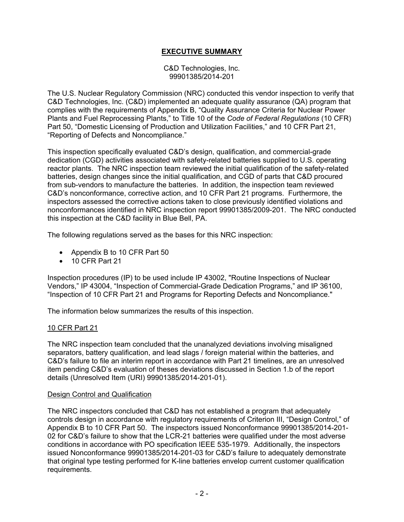# **EXECUTIVE SUMMARY**

#### C&D Technologies, Inc. 99901385/2014-201

The U.S. Nuclear Regulatory Commission (NRC) conducted this vendor inspection to verify that C&D Technologies, Inc. (C&D) implemented an adequate quality assurance (QA) program that complies with the requirements of Appendix B, "Quality Assurance Criteria for Nuclear Power Plants and Fuel Reprocessing Plants," to Title 10 of the *Code of Federal Regulations* (10 CFR) Part 50, "Domestic Licensing of Production and Utilization Facilities," and 10 CFR Part 21, "Reporting of Defects and Noncompliance."

This inspection specifically evaluated C&D's design, qualification, and commercial-grade dedication (CGD) activities associated with safety-related batteries supplied to U.S. operating reactor plants. The NRC inspection team reviewed the initial qualification of the safety-related batteries, design changes since the initial qualification, and CGD of parts that C&D procured from sub-vendors to manufacture the batteries. In addition, the inspection team reviewed C&D's nonconformance, corrective action, and 10 CFR Part 21 programs. Furthermore, the inspectors assessed the corrective actions taken to close previously identified violations and nonconformances identified in NRC inspection report 99901385/2009-201. The NRC conducted this inspection at the C&D facility in Blue Bell, PA.

The following regulations served as the bases for this NRC inspection:

- Appendix B to 10 CFR Part 50
- 10 CFR Part 21

Inspection procedures (IP) to be used include IP 43002, "Routine Inspections of Nuclear Vendors," IP 43004, "Inspection of Commercial-Grade Dedication Programs," and IP 36100, "Inspection of 10 CFR Part 21 and Programs for Reporting Defects and Noncompliance."

The information below summarizes the results of this inspection.

#### 10 CFR Part 21

The NRC inspection team concluded that the unanalyzed deviations involving misaligned separators, battery qualification, and lead slags / foreign material within the batteries, and C&D's failure to file an interim report in accordance with Part 21 timelines, are an unresolved item pending C&D's evaluation of theses deviations discussed in Section 1.b of the report details (Unresolved Item (URI) 99901385/2014-201-01).

#### Design Control and Qualification

The NRC inspectors concluded that C&D has not established a program that adequately controls design in accordance with regulatory requirements of Criterion III, "Design Control," of Appendix B to 10 CFR Part 50. The inspectors issued Nonconformance 99901385/2014-201- 02 for C&D's failure to show that the LCR-21 batteries were qualified under the most adverse conditions in accordance with PO specification IEEE 535-1979. Additionally, the inspectors issued Nonconformance 99901385/2014-201-03 for C&D's failure to adequately demonstrate that original type testing performed for K-line batteries envelop current customer qualification requirements.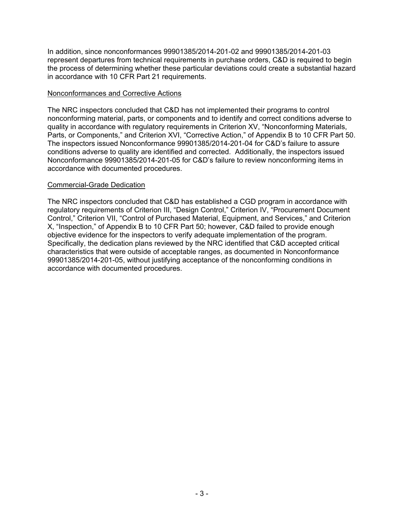In addition, since nonconformances 99901385/2014-201-02 and 99901385/2014-201-03 represent departures from technical requirements in purchase orders, C&D is required to begin the process of determining whether these particular deviations could create a substantial hazard in accordance with 10 CFR Part 21 requirements.

## Nonconformances and Corrective Actions

The NRC inspectors concluded that C&D has not implemented their programs to control nonconforming material, parts, or components and to identify and correct conditions adverse to quality in accordance with regulatory requirements in Criterion XV, "Nonconforming Materials, Parts, or Components," and Criterion XVI, "Corrective Action," of Appendix B to 10 CFR Part 50. The inspectors issued Nonconformance 99901385/2014-201-04 for C&D's failure to assure conditions adverse to quality are identified and corrected. Additionally, the inspectors issued Nonconformance 99901385/2014-201-05 for C&D's failure to review nonconforming items in accordance with documented procedures.

#### Commercial-Grade Dedication

The NRC inspectors concluded that C&D has established a CGD program in accordance with regulatory requirements of Criterion III, "Design Control," Criterion IV, "Procurement Document Control," Criterion VII, "Control of Purchased Material, Equipment, and Services," and Criterion X, "Inspection," of Appendix B to 10 CFR Part 50; however, C&D failed to provide enough objective evidence for the inspectors to verify adequate implementation of the program. Specifically, the dedication plans reviewed by the NRC identified that C&D accepted critical characteristics that were outside of acceptable ranges, as documented in Nonconformance 99901385/2014-201-05, without justifying acceptance of the nonconforming conditions in accordance with documented procedures.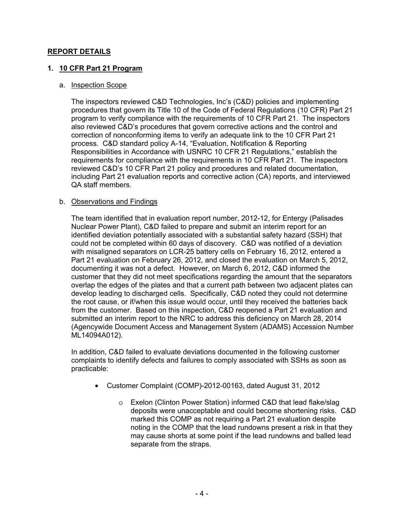## **REPORT DETAILS**

## **1. 10 CFR Part 21 Program**

#### a. Inspection Scope

The inspectors reviewed C&D Technologies, Inc's (C&D) policies and implementing procedures that govern its Title 10 of the Code of Federal Regulations (10 CFR) Part 21 program to verify compliance with the requirements of 10 CFR Part 21. The inspectors also reviewed C&D's procedures that govern corrective actions and the control and correction of nonconforming items to verify an adequate link to the 10 CFR Part 21 process. C&D standard policy A-14, "Evaluation, Notification & Reporting Responsibilities in Accordance with USNRC 10 CFR 21 Regulations," establish the requirements for compliance with the requirements in 10 CFR Part 21. The inspectors reviewed C&D's 10 CFR Part 21 policy and procedures and related documentation, including Part 21 evaluation reports and corrective action (CA) reports, and interviewed QA staff members.

#### b. Observations and Findings

The team identified that in evaluation report number, 2012-12, for Entergy (Palisades Nuclear Power Plant), C&D failed to prepare and submit an interim report for an identified deviation potentially associated with a substantial safety hazard (SSH) that could not be completed within 60 days of discovery. C&D was notified of a deviation with misaligned separators on LCR-25 battery cells on February 16, 2012, entered a Part 21 evaluation on February 26, 2012, and closed the evaluation on March 5, 2012, documenting it was not a defect. However, on March 6, 2012, C&D informed the customer that they did not meet specifications regarding the amount that the separators overlap the edges of the plates and that a current path between two adjacent plates can develop leading to discharged cells. Specifically, C&D noted they could not determine the root cause, or if/when this issue would occur, until they received the batteries back from the customer. Based on this inspection, C&D reopened a Part 21 evaluation and submitted an interim report to the NRC to address this deficiency on March 28, 2014 (Agencywide Document Access and Management System (ADAMS) Accession Number ML14094A012).

In addition, C&D failed to evaluate deviations documented in the following customer complaints to identify defects and failures to comply associated with SSHs as soon as practicable:

- Customer Complaint (COMP)-2012-00163, dated August 31, 2012
	- o Exelon (Clinton Power Station) informed C&D that lead flake/slag deposits were unacceptable and could become shortening risks. C&D marked this COMP as not requiring a Part 21 evaluation despite noting in the COMP that the lead rundowns present a risk in that they may cause shorts at some point if the lead rundowns and balled lead separate from the straps.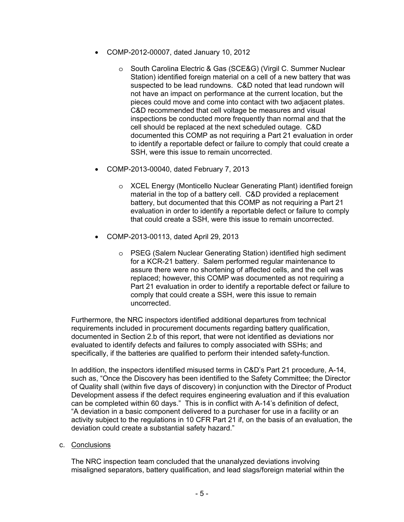- COMP-2012-00007, dated January 10, 2012
	- o South Carolina Electric & Gas (SCE&G) (Virgil C. Summer Nuclear Station) identified foreign material on a cell of a new battery that was suspected to be lead rundowns. C&D noted that lead rundown will not have an impact on performance at the current location, but the pieces could move and come into contact with two adjacent plates. C&D recommended that cell voltage be measures and visual inspections be conducted more frequently than normal and that the cell should be replaced at the next scheduled outage. C&D documented this COMP as not requiring a Part 21 evaluation in order to identify a reportable defect or failure to comply that could create a SSH, were this issue to remain uncorrected.
- COMP-2013-00040, dated February 7, 2013
	- o XCEL Energy (Monticello Nuclear Generating Plant) identified foreign material in the top of a battery cell. C&D provided a replacement battery, but documented that this COMP as not requiring a Part 21 evaluation in order to identify a reportable defect or failure to comply that could create a SSH, were this issue to remain uncorrected.
- COMP-2013-00113, dated April 29, 2013
	- o PSEG (Salem Nuclear Generating Station) identified high sediment for a KCR-21 battery. Salem performed regular maintenance to assure there were no shortening of affected cells, and the cell was replaced; however, this COMP was documented as not requiring a Part 21 evaluation in order to identify a reportable defect or failure to comply that could create a SSH, were this issue to remain uncorrected.

Furthermore, the NRC inspectors identified additional departures from technical requirements included in procurement documents regarding battery qualification, documented in Section 2.b of this report, that were not identified as deviations nor evaluated to identify defects and failures to comply associated with SSHs; and specifically, if the batteries are qualified to perform their intended safety-function.

In addition, the inspectors identified misused terms in C&D's Part 21 procedure, A-14, such as, "Once the Discovery has been identified to the Safety Committee; the Director of Quality shall (within five days of discovery) in conjunction with the Director of Product Development assess if the defect requires engineering evaluation and if this evaluation can be completed within 60 days." This is in conflict with A-14's definition of defect, "A deviation in a basic component delivered to a purchaser for use in a facility or an activity subject to the regulations in 10 CFR Part 21 if, on the basis of an evaluation, the deviation could create a substantial safety hazard."

c. Conclusions

The NRC inspection team concluded that the unanalyzed deviations involving misaligned separators, battery qualification, and lead slags/foreign material within the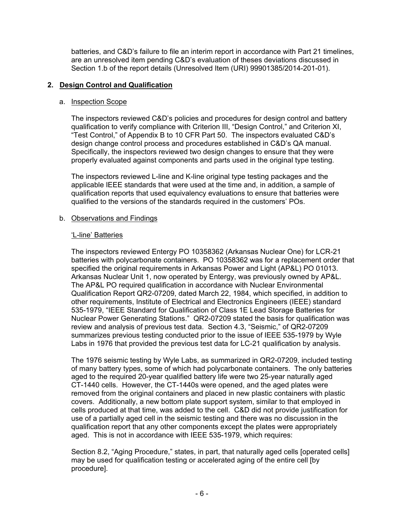batteries, and C&D's failure to file an interim report in accordance with Part 21 timelines, are an unresolved item pending C&D's evaluation of theses deviations discussed in Section 1.b of the report details (Unresolved Item (URI) 99901385/2014-201-01).

# **2. Design Control and Qualification**

#### a. Inspection Scope

The inspectors reviewed C&D's policies and procedures for design control and battery qualification to verify compliance with Criterion III, "Design Control," and Criterion XI, "Test Control," of Appendix B to 10 CFR Part 50. The inspectors evaluated C&D's design change control process and procedures established in C&D's QA manual. Specifically, the inspectors reviewed two design changes to ensure that they were properly evaluated against components and parts used in the original type testing.

The inspectors reviewed L-line and K-line original type testing packages and the applicable IEEE standards that were used at the time and, in addition, a sample of qualification reports that used equivalency evaluations to ensure that batteries were qualified to the versions of the standards required in the customers' POs.

#### b. Observations and Findings

#### 'L-line' Batteries

The inspectors reviewed Entergy PO 10358362 (Arkansas Nuclear One) for LCR-21 batteries with polycarbonate containers. PO 10358362 was for a replacement order that specified the original requirements in Arkansas Power and Light (AP&L) PO 01013. Arkansas Nuclear Unit 1, now operated by Entergy, was previously owned by AP&L. The AP&L PO required qualification in accordance with Nuclear Environmental Qualification Report QR2-07209, dated March 22, 1984, which specified, in addition to other requirements, Institute of Electrical and Electronics Engineers (IEEE) standard 535-1979, "IEEE Standard for Qualification of Class 1E Lead Storage Batteries for Nuclear Power Generating Stations." QR2-07209 stated the basis for qualification was review and analysis of previous test data. Section 4.3, "Seismic," of QR2-07209 summarizes previous testing conducted prior to the issue of IEEE 535-1979 by Wyle Labs in 1976 that provided the previous test data for LC-21 qualification by analysis.

The 1976 seismic testing by Wyle Labs, as summarized in QR2-07209, included testing of many battery types, some of which had polycarbonate containers. The only batteries aged to the required 20-year qualified battery life were two 25-year naturally aged CT-1440 cells. However, the CT-1440s were opened, and the aged plates were removed from the original containers and placed in new plastic containers with plastic covers. Additionally, a new bottom plate support system, similar to that employed in cells produced at that time, was added to the cell. C&D did not provide justification for use of a partially aged cell in the seismic testing and there was no discussion in the qualification report that any other components except the plates were appropriately aged. This is not in accordance with IEEE 535-1979, which requires:

Section 8.2, "Aging Procedure," states, in part, that naturally aged cells [operated cells] may be used for qualification testing or accelerated aging of the entire cell [by procedure].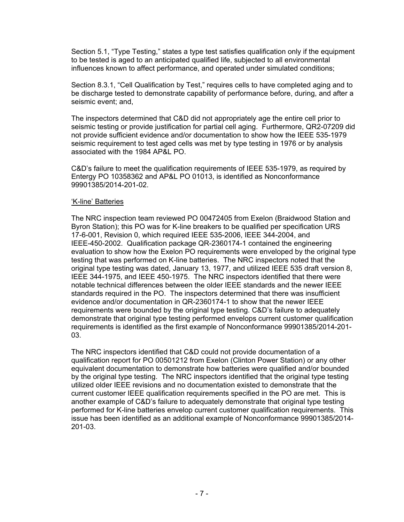Section 5.1, "Type Testing," states a type test satisfies qualification only if the equipment to be tested is aged to an anticipated qualified life, subjected to all environmental influences known to affect performance, and operated under simulated conditions;

Section 8.3.1, "Cell Qualification by Test," requires cells to have completed aging and to be discharge tested to demonstrate capability of performance before, during, and after a seismic event; and,

The inspectors determined that C&D did not appropriately age the entire cell prior to seismic testing or provide justification for partial cell aging. Furthermore, QR2-07209 did not provide sufficient evidence and/or documentation to show how the IEEE 535-1979 seismic requirement to test aged cells was met by type testing in 1976 or by analysis associated with the 1984 AP&L PO.

C&D's failure to meet the qualification requirements of IEEE 535-1979, as required by Entergy PO 10358362 and AP&L PO 01013, is identified as Nonconformance 99901385/2014-201-02.

#### 'K-line' Batteries

The NRC inspection team reviewed PO 00472405 from Exelon (Braidwood Station and Byron Station); this PO was for K-line breakers to be qualified per specification URS 17-6-001, Revision 0, which required IEEE 535-2006, IEEE 344-2004, and IEEE-450-2002. Qualification package QR-2360174-1 contained the engineering evaluation to show how the Exelon PO requirements were enveloped by the original type testing that was performed on K-line batteries. The NRC inspectors noted that the original type testing was dated, January 13, 1977, and utilized IEEE 535 draft version 8, IEEE 344-1975, and IEEE 450-1975. The NRC inspectors identified that there were notable technical differences between the older IEEE standards and the newer IEEE standards required in the PO. The inspectors determined that there was insufficient evidence and/or documentation in QR-2360174-1 to show that the newer IEEE requirements were bounded by the original type testing. C&D's failure to adequately demonstrate that original type testing performed envelops current customer qualification requirements is identified as the first example of Nonconformance 99901385/2014-201- 03.

The NRC inspectors identified that C&D could not provide documentation of a qualification report for PO 00501212 from Exelon (Clinton Power Station) or any other equivalent documentation to demonstrate how batteries were qualified and/or bounded by the original type testing. The NRC inspectors identified that the original type testing utilized older IEEE revisions and no documentation existed to demonstrate that the current customer IEEE qualification requirements specified in the PO are met. This is another example of C&D's failure to adequately demonstrate that original type testing performed for K-line batteries envelop current customer qualification requirements. This issue has been identified as an additional example of Nonconformance 99901385/2014- 201-03.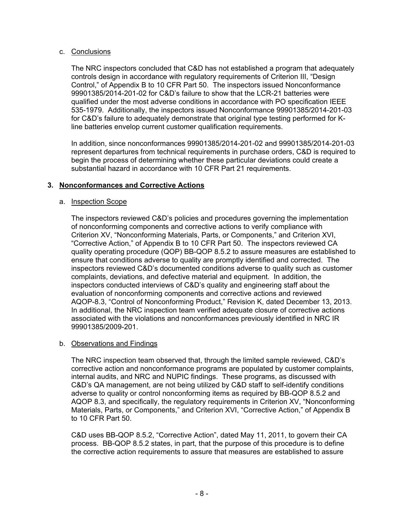## c. Conclusions

The NRC inspectors concluded that C&D has not established a program that adequately controls design in accordance with regulatory requirements of Criterion III, "Design Control," of Appendix B to 10 CFR Part 50. The inspectors issued Nonconformance 99901385/2014-201-02 for C&D's failure to show that the LCR-21 batteries were qualified under the most adverse conditions in accordance with PO specification IEEE 535-1979. Additionally, the inspectors issued Nonconformance 99901385/2014-201-03 for C&D's failure to adequately demonstrate that original type testing performed for Kline batteries envelop current customer qualification requirements.

In addition, since nonconformances 99901385/2014-201-02 and 99901385/2014-201-03 represent departures from technical requirements in purchase orders, C&D is required to begin the process of determining whether these particular deviations could create a substantial hazard in accordance with 10 CFR Part 21 requirements.

## **3. Nonconformances and Corrective Actions**

## a. Inspection Scope

The inspectors reviewed C&D's policies and procedures governing the implementation of nonconforming components and corrective actions to verify compliance with Criterion XV, "Nonconforming Materials, Parts, or Components," and Criterion XVI, "Corrective Action," of Appendix B to 10 CFR Part 50. The inspectors reviewed CA quality operating procedure (QOP) BB-QOP 8.5.2 to assure measures are established to ensure that conditions adverse to quality are promptly identified and corrected. The inspectors reviewed C&D's documented conditions adverse to quality such as customer complaints, deviations, and defective material and equipment. In addition, the inspectors conducted interviews of C&D's quality and engineering staff about the evaluation of nonconforming components and corrective actions and reviewed AQOP-8.3, "Control of Nonconforming Product," Revision K, dated December 13, 2013. In additional, the NRC inspection team verified adequate closure of corrective actions associated with the violations and nonconformances previously identified in NRC IR 99901385/2009-201.

## b. Observations and Findings

The NRC inspection team observed that, through the limited sample reviewed, C&D's corrective action and nonconformance programs are populated by customer complaints, internal audits, and NRC and NUPIC findings. These programs, as discussed with C&D's QA management, are not being utilized by C&D staff to self-identify conditions adverse to quality or control nonconforming items as required by BB-QOP 8.5.2 and AQOP 8.3, and specifically, the regulatory requirements in Criterion XV, "Nonconforming Materials, Parts, or Components," and Criterion XVI, "Corrective Action," of Appendix B to 10 CFR Part 50.

C&D uses BB-QOP 8.5.2, "Corrective Action", dated May 11, 2011, to govern their CA process. BB-QOP 8.5.2 states, in part, that the purpose of this procedure is to define the corrective action requirements to assure that measures are established to assure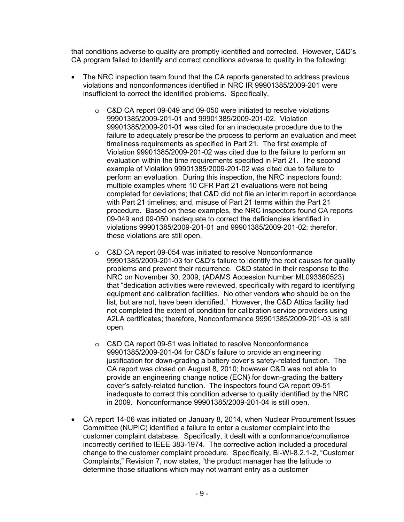that conditions adverse to quality are promptly identified and corrected. However, C&D's CA program failed to identify and correct conditions adverse to quality in the following:

- The NRC inspection team found that the CA reports generated to address previous violations and nonconformances identified in NRC IR 99901385/2009-201 were insufficient to correct the identified problems. Specifically,
	- o C&D CA report 09-049 and 09-050 were initiated to resolve violations 99901385/2009-201-01 and 99901385/2009-201-02. Violation 99901385/2009-201-01 was cited for an inadequate procedure due to the failure to adequately prescribe the process to perform an evaluation and meet timeliness requirements as specified in Part 21. The first example of Violation 99901385/2009-201-02 was cited due to the failure to perform an evaluation within the time requirements specified in Part 21. The second example of Violation 99901385/2009-201-02 was cited due to failure to perform an evaluation. During this inspection, the NRC inspectors found: multiple examples where 10 CFR Part 21 evaluations were not being completed for deviations; that C&D did not file an interim report in accordance with Part 21 timelines; and, misuse of Part 21 terms within the Part 21 procedure. Based on these examples, the NRC inspectors found CA reports 09-049 and 09-050 inadequate to correct the deficiencies identified in violations 99901385/2009-201-01 and 99901385/2009-201-02; therefor, these violations are still open.
	- o C&D CA report 09-054 was initiated to resolve Nonconformance 99901385/2009-201-03 for C&D's failure to identify the root causes for quality problems and prevent their recurrence. C&D stated in their response to the NRC on November 30, 2009, (ADAMS Accession Number ML093360523) that "dedication activities were reviewed, specifically with regard to identifying equipment and calibration facilities. No other vendors who should be on the list, but are not, have been identified." However, the C&D Attica facility had not completed the extent of condition for calibration service providers using A2LA certificates; therefore, Nonconformance 99901385/2009-201-03 is still open.
	- o C&D CA report 09-51 was initiated to resolve Nonconformance 99901385/2009-201-04 for C&D's failure to provide an engineering justification for down-grading a battery cover's safety-related function. The CA report was closed on August 8, 2010; however C&D was not able to provide an engineering change notice (ECN) for down-grading the battery cover's safety-related function. The inspectors found CA report 09-51 inadequate to correct this condition adverse to quality identified by the NRC in 2009. Nonconformance 99901385/2009-201-04 is still open.
- CA report 14-06 was initiated on January 8, 2014, when Nuclear Procurement Issues Committee (NUPIC) identified a failure to enter a customer complaint into the customer complaint database. Specifically, it dealt with a conformance/compliance incorrectly certified to IEEE 383-1974. The corrective action included a procedural change to the customer complaint procedure. Specifically, BI-WI-8.2.1-2, "Customer Complaints," Revision 7, now states, "the product manager has the latitude to determine those situations which may not warrant entry as a customer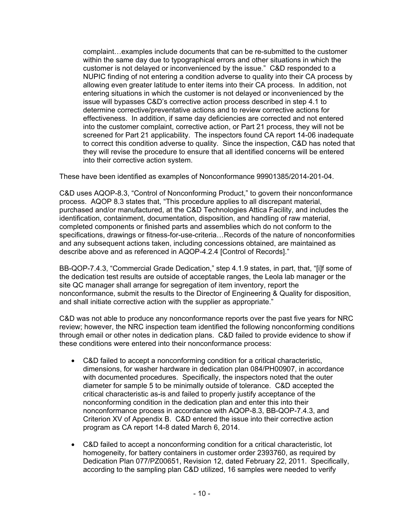complaint…examples include documents that can be re-submitted to the customer within the same day due to typographical errors and other situations in which the customer is not delayed or inconvenienced by the issue." C&D responded to a NUPIC finding of not entering a condition adverse to quality into their CA process by allowing even greater latitude to enter items into their CA process. In addition, not entering situations in which the customer is not delayed or inconvenienced by the issue will bypasses C&D's corrective action process described in step 4.1 to determine corrective/preventative actions and to review corrective actions for effectiveness. In addition, if same day deficiencies are corrected and not entered into the customer complaint, corrective action, or Part 21 process, they will not be screened for Part 21 applicability. The inspectors found CA report 14-06 inadequate to correct this condition adverse to quality. Since the inspection, C&D has noted that they will revise the procedure to ensure that all identified concerns will be entered into their corrective action system.

These have been identified as examples of Nonconformance 99901385/2014-201-04.

C&D uses AQOP-8.3, "Control of Nonconforming Product," to govern their nonconformance process. AQOP 8.3 states that, "This procedure applies to all discrepant material, purchased and/or manufactured, at the C&D Technologies Attica Facility, and includes the identification, containment, documentation, disposition, and handling of raw material, completed components or finished parts and assemblies which do not conform to the specifications, drawings or fitness-for-use-criteria…Records of the nature of nonconformities and any subsequent actions taken, including concessions obtained, are maintained as describe above and as referenced in AQOP-4.2.4 [Control of Records]."

BB-QOP-7.4.3, "Commercial Grade Dedication," step 4.1.9 states, in part, that, "[i]f some of the dedication test results are outside of acceptable ranges, the Leola lab manager or the site QC manager shall arrange for segregation of item inventory, report the nonconformance, submit the results to the Director of Engineering & Quality for disposition, and shall initiate corrective action with the supplier as appropriate."

C&D was not able to produce any nonconformance reports over the past five years for NRC review; however, the NRC inspection team identified the following nonconforming conditions through email or other notes in dedication plans. C&D failed to provide evidence to show if these conditions were entered into their nonconformance process:

- C&D failed to accept a nonconforming condition for a critical characteristic, dimensions, for washer hardware in dedication plan 084/PH00907, in accordance with documented procedures. Specifically, the inspectors noted that the outer diameter for sample 5 to be minimally outside of tolerance. C&D accepted the critical characteristic as-is and failed to properly justify acceptance of the nonconforming condition in the dedication plan and enter this into their nonconformance process in accordance with AQOP-8.3, BB-QOP-7.4.3, and Criterion XV of Appendix B. C&D entered the issue into their corrective action program as CA report 14-8 dated March 6, 2014.
- C&D failed to accept a nonconforming condition for a critical characteristic, lot homogeneity, for battery containers in customer order 2393760, as required by Dedication Plan 077/PZ00651, Revision 12, dated February 22, 2011. Specifically, according to the sampling plan C&D utilized, 16 samples were needed to verify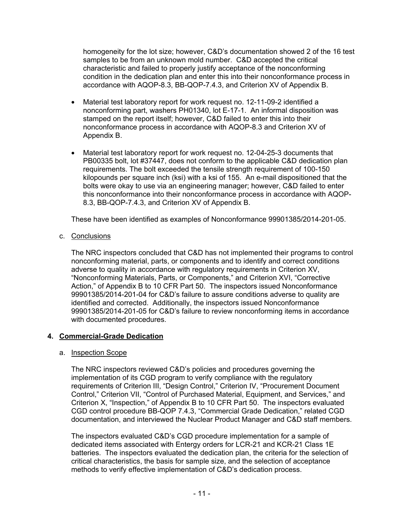homogeneity for the lot size; however, C&D's documentation showed 2 of the 16 test samples to be from an unknown mold number. C&D accepted the critical characteristic and failed to properly justify acceptance of the nonconforming condition in the dedication plan and enter this into their nonconformance process in accordance with AQOP-8.3, BB-QOP-7.4.3, and Criterion XV of Appendix B.

- Material test laboratory report for work request no. 12-11-09-2 identified a nonconforming part, washers PH01340, lot E-17-1. An informal disposition was stamped on the report itself; however, C&D failed to enter this into their nonconformance process in accordance with AQOP-8.3 and Criterion XV of Appendix B.
- Material test laboratory report for work request no. 12-04-25-3 documents that PB00335 bolt, lot #37447, does not conform to the applicable C&D dedication plan requirements. The bolt exceeded the tensile strength requirement of 100-150 kilopounds per square inch (ksi) with a ksi of 155. An e-mail dispositioned that the bolts were okay to use via an engineering manager; however, C&D failed to enter this nonconformance into their nonconformance process in accordance with AQOP-8.3, BB-QOP-7.4.3, and Criterion XV of Appendix B.

These have been identified as examples of Nonconformance 99901385/2014-201-05.

## c. Conclusions

The NRC inspectors concluded that C&D has not implemented their programs to control nonconforming material, parts, or components and to identify and correct conditions adverse to quality in accordance with regulatory requirements in Criterion XV, "Nonconforming Materials, Parts, or Components," and Criterion XVI, "Corrective Action," of Appendix B to 10 CFR Part 50. The inspectors issued Nonconformance 99901385/2014-201-04 for C&D's failure to assure conditions adverse to quality are identified and corrected. Additionally, the inspectors issued Nonconformance 99901385/2014-201-05 for C&D's failure to review nonconforming items in accordance with documented procedures.

## **4. Commercial-Grade Dedication**

## a. Inspection Scope

The NRC inspectors reviewed C&D's policies and procedures governing the implementation of its CGD program to verify compliance with the regulatory requirements of Criterion III, "Design Control," Criterion IV, "Procurement Document Control," Criterion VII, "Control of Purchased Material, Equipment, and Services," and Criterion X, "Inspection," of Appendix B to 10 CFR Part 50. The inspectors evaluated CGD control procedure BB-QOP 7.4.3, "Commercial Grade Dedication," related CGD documentation, and interviewed the Nuclear Product Manager and C&D staff members.

The inspectors evaluated C&D's CGD procedure implementation for a sample of dedicated items associated with Entergy orders for LCR-21 and KCR-21 Class 1E batteries. The inspectors evaluated the dedication plan, the criteria for the selection of critical characteristics, the basis for sample size, and the selection of acceptance methods to verify effective implementation of C&D's dedication process.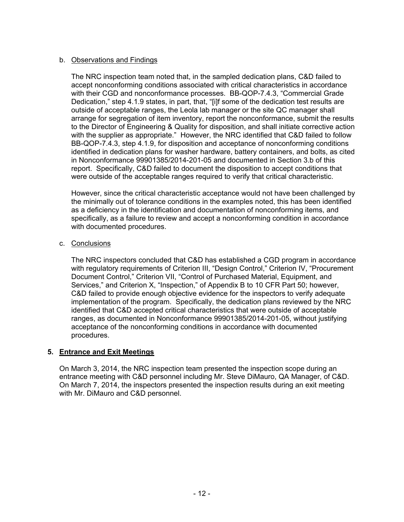# b. Observations and Findings

The NRC inspection team noted that, in the sampled dedication plans, C&D failed to accept nonconforming conditions associated with critical characteristics in accordance with their CGD and nonconformance processes. BB-QOP-7.4.3, "Commercial Grade Dedication," step 4.1.9 states, in part, that, "[i]f some of the dedication test results are outside of acceptable ranges, the Leola lab manager or the site QC manager shall arrange for segregation of item inventory, report the nonconformance, submit the results to the Director of Engineering & Quality for disposition, and shall initiate corrective action with the supplier as appropriate." However, the NRC identified that C&D failed to follow BB-QOP-7.4.3, step 4.1.9, for disposition and acceptance of nonconforming conditions identified in dedication plans for washer hardware, battery containers, and bolts, as cited in Nonconformance 99901385/2014-201-05 and documented in Section 3.b of this report. Specifically, C&D failed to document the disposition to accept conditions that were outside of the acceptable ranges required to verify that critical characteristic.

However, since the critical characteristic acceptance would not have been challenged by the minimally out of tolerance conditions in the examples noted, this has been identified as a deficiency in the identification and documentation of nonconforming items, and specifically, as a failure to review and accept a nonconforming condition in accordance with documented procedures.

## c. Conclusions

The NRC inspectors concluded that C&D has established a CGD program in accordance with regulatory requirements of Criterion III, "Design Control," Criterion IV, "Procurement Document Control," Criterion VII, "Control of Purchased Material, Equipment, and Services," and Criterion X, "Inspection," of Appendix B to 10 CFR Part 50; however, C&D failed to provide enough objective evidence for the inspectors to verify adequate implementation of the program. Specifically, the dedication plans reviewed by the NRC identified that C&D accepted critical characteristics that were outside of acceptable ranges, as documented in Nonconformance 99901385/2014-201-05, without justifying acceptance of the nonconforming conditions in accordance with documented procedures.

# **5. Entrance and Exit Meetings**

On March 3, 2014, the NRC inspection team presented the inspection scope during an entrance meeting with C&D personnel including Mr. Steve DiMauro, QA Manager, of C&D. On March 7, 2014, the inspectors presented the inspection results during an exit meeting with Mr. DiMauro and C&D personnel.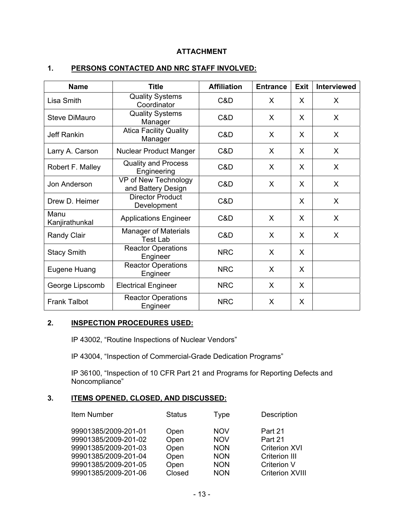# **ATTACHMENT**

# **1. PERSONS CONTACTED AND NRC STAFF INVOLVED:**

| <b>Name</b>            | <b>Title</b>                               | <b>Affiliation</b> | <b>Entrance</b> | <b>Exit</b> | <b>Interviewed</b> |
|------------------------|--------------------------------------------|--------------------|-----------------|-------------|--------------------|
| Lisa Smith             | <b>Quality Systems</b><br>Coordinator      | C&D                | X               | X           | X.                 |
| <b>Steve DiMauro</b>   | <b>Quality Systems</b><br>Manager          | C&D                | X               | X           | X                  |
| <b>Jeff Rankin</b>     | <b>Atica Facility Quality</b><br>Manager   | C&D                | X               | X           | X                  |
| Larry A. Carson        | <b>Nuclear Product Manger</b>              | C&D                | X               | X           | X                  |
| Robert F. Malley       | <b>Quality and Process</b><br>Engineering  | C&D                | X               | X           | X                  |
| Jon Anderson           | VP of New Technology<br>and Battery Design | C&D                | X               | X           | X                  |
| Drew D. Heimer         | <b>Director Product</b><br>Development     | C&D                |                 | X           | X                  |
| Manu<br>Kanjirathunkal | <b>Applications Engineer</b>               | C&D                | X               | X           | X                  |
| <b>Randy Clair</b>     | Manager of Materials<br><b>Test Lab</b>    | C&D                | X               | X           | X                  |
| <b>Stacy Smith</b>     | <b>Reactor Operations</b><br>Engineer      | <b>NRC</b>         | X               | X           |                    |
| Eugene Huang           | <b>Reactor Operations</b><br>Engineer      | <b>NRC</b>         | X               | X           |                    |
| George Lipscomb        | <b>Electrical Engineer</b>                 | <b>NRC</b>         | X               | X           |                    |
| <b>Frank Talbot</b>    | <b>Reactor Operations</b><br>Engineer      | <b>NRC</b>         | X               | X           |                    |

# **2. INSPECTION PROCEDURES USED:**

IP 43002, "Routine Inspections of Nuclear Vendors"

IP 43004, "Inspection of Commercial-Grade Dedication Programs"

IP 36100, "Inspection of 10 CFR Part 21 and Programs for Reporting Defects and Noncompliance"

# **3. ITEMS OPENED, CLOSED, AND DISCUSSED:**

| Item Number          | <b>Status</b> | Type       | Description            |
|----------------------|---------------|------------|------------------------|
| 99901385/2009-201-01 | Open          | <b>NOV</b> | Part 21                |
| 99901385/2009-201-02 | Open          | <b>NOV</b> | Part 21                |
| 99901385/2009-201-03 | Open          | <b>NON</b> | <b>Criterion XVI</b>   |
| 99901385/2009-201-04 | Open          | <b>NON</b> | <b>Criterion III</b>   |
| 99901385/2009-201-05 | Open          | <b>NON</b> | <b>Criterion V</b>     |
| 99901385/2009-201-06 | Closed        | <b>NON</b> | <b>Criterion XVIII</b> |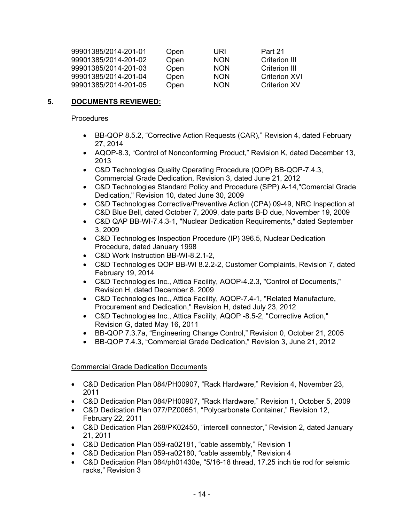| 99901385/2014-201-01 | Open | URI        | Part 21       |
|----------------------|------|------------|---------------|
| 99901385/2014-201-02 | Open | <b>NON</b> | Criterion III |
| 99901385/2014-201-03 | Open | <b>NON</b> | Criterion III |
| 99901385/2014-201-04 | Open | <b>NON</b> | Criterion XVI |
| 99901385/2014-201-05 | Open | <b>NON</b> | Criterion XV  |

# **5. DOCUMENTS REVIEWED:**

#### Procedures

- BB-QOP 8.5.2, "Corrective Action Requests (CAR)," Revision 4, dated February 27, 2014
- AQOP-8.3, "Control of Nonconforming Product," Revision K, dated December 13, 2013
- C&D Technologies Quality Operating Procedure (QOP) BB-QOP-7.4.3, Commercial Grade Dedication, Revision 3, dated June 21, 2012
- C&D Technologies Standard Policy and Procedure (SPP) A-14,"Comercial Grade Dedication," Revision 10, dated June 30, 2009
- C&D Technologies Corrective/Preventive Action (CPA) 09-49, NRC Inspection at C&D Blue Bell, dated October 7, 2009, date parts B-D due, November 19, 2009
- C&D QAP BB-WI-7.4.3-1, "Nuclear Dedication Requirements," dated September 3, 2009
- C&D Technologies Inspection Procedure (IP) 396.5, Nuclear Dedication Procedure, dated January 1998
- C&D Work Instruction BB-WI-8.2.1-2,
- C&D Technologies QOP BB-WI 8.2.2-2, Customer Complaints, Revision 7, dated February 19, 2014
- C&D Technologies Inc., Attica Facility, AQOP-4.2.3, "Control of Documents," Revision H, dated December 8, 2009
- C&D Technologies Inc., Attica Facility, AQOP-7.4-1, "Related Manufacture, Procurement and Dedication," Revision H, dated July 23, 2012
- C&D Technologies Inc., Attica Facility, AQOP -8.5-2, "Corrective Action," Revision G, dated May 16, 2011
- BB-QOP 7.3.7a, "Engineering Change Control," Revision 0, October 21, 2005
- BB-QOP 7.4.3, "Commercial Grade Dedication," Revision 3, June 21, 2012

## Commercial Grade Dedication Documents

- C&D Dedication Plan 084/PH00907, "Rack Hardware," Revision 4, November 23, 2011
- C&D Dedication Plan 084/PH00907, "Rack Hardware," Revision 1, October 5, 2009
- C&D Dedication Plan 077/PZ00651, "Polycarbonate Container," Revision 12, February 22, 2011
- C&D Dedication Plan 268/PK02450, "intercell connector," Revision 2, dated January 21, 2011
- C&D Dedication Plan 059-ra02181, "cable assembly," Revision 1
- C&D Dedication Plan 059-ra02180, "cable assembly," Revision 4
- C&D Dedication Plan 084/ph01430e, "5/16-18 thread, 17.25 inch tie rod for seismic racks," Revision 3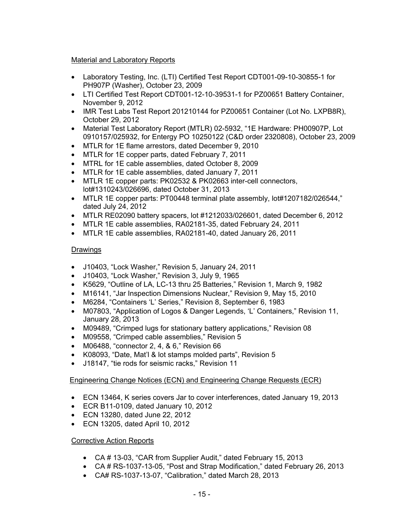# Material and Laboratory Reports

- Laboratory Testing, Inc. (LTI) Certified Test Report CDT001-09-10-30855-1 for PH907P (Washer), October 23, 2009
- LTI Certified Test Report CDT001-12-10-39531-1 for PZ00651 Battery Container, November 9, 2012
- IMR Test Labs Test Report 201210144 for PZ00651 Container (Lot No. LXPB8R), October 29, 2012
- Material Test Laboratory Report (MTLR) 02-5932, "1E Hardware: PH00907P, Lot 0910157/025932, for Entergy PO 10250122 (C&D order 2320808), October 23, 2009
- MTLR for 1E flame arrestors, dated December 9, 2010
- MTLR for 1E copper parts, dated February 7, 2011
- MTRL for 1E cable assemblies, dated October 8, 2009
- MTLR for 1E cable assemblies, dated January 7, 2011
- MTLR 1E copper parts: PK02532 & PK02663 inter-cell connectors, lot#1310243/026696, dated October 31, 2013
- MTLR 1E copper parts: PT00448 terminal plate assembly, lot#1207182/026544," dated July 24, 2012
- MTLR RE02090 battery spacers, lot #1212033/026601, dated December 6, 2012
- MTLR 1E cable assemblies, RA02181-35, dated February 24, 2011
- MTLR 1E cable assemblies, RA02181-40, dated January 26, 2011

# Drawings

- J10403, "Lock Washer," Revision 5, January 24, 2011
- J10403, "Lock Washer," Revision 3, July 9, 1965
- K5629, "Outline of LA, LC-13 thru 25 Batteries," Revision 1, March 9, 1982
- M16141, "Jar Inspection Dimensions Nuclear," Revision 9, May 15, 2010
- M6284, "Containers 'L' Series," Revision 8, September 6, 1983
- M07803, "Application of Logos & Danger Legends, 'L' Containers," Revision 11, January 28, 2013
- M09489, "Crimped lugs for stationary battery applications," Revision 08
- M09558, "Crimped cable assemblies," Revision 5
- M06488, "connector 2, 4, & 6," Revision 66
- K08093, "Date, Mat'l & lot stamps molded parts", Revision 5
- J18147, "tie rods for seismic racks," Revision 11

# Engineering Change Notices (ECN) and Engineering Change Requests (ECR)

- ECN 13464, K series covers Jar to cover interferences, dated January 19, 2013
- ECR B11-0109, dated January 10, 2012
- ECN 13280, dated June 22, 2012
- ECN 13205, dated April 10, 2012

# Corrective Action Reports

- CA # 13-03, "CAR from Supplier Audit," dated February 15, 2013
- CA # RS-1037-13-05, "Post and Strap Modification," dated February 26, 2013
- CA# RS-1037-13-07, "Calibration," dated March 28, 2013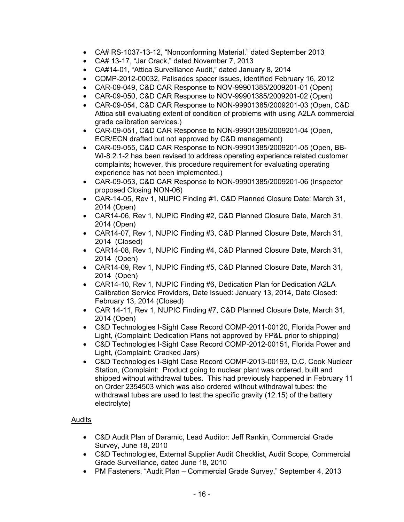- CA# RS-1037-13-12, "Nonconforming Material," dated September 2013
- CA# 13-17, "Jar Crack," dated November 7, 2013
- CA#14-01, "Attica Surveillance Audit," dated January 8, 2014
- COMP-2012-00032, Palisades spacer issues, identified February 16, 2012
- CAR-09-049, C&D CAR Response to NOV-99901385/2009201-01 (Open)
- CAR-09-050, C&D CAR Response to NOV-99901385/2009201-02 (Open)
- CAR-09-054, C&D CAR Response to NON-99901385/2009201-03 (Open, C&D Attica still evaluating extent of condition of problems with using A2LA commercial grade calibration services.)
- CAR-09-051, C&D CAR Response to NON-99901385/2009201-04 (Open, ECR/ECN drafted but not approved by C&D management)
- CAR-09-055, C&D CAR Response to NON-99901385/2009201-05 (Open, BB-WI-8.2.1-2 has been revised to address operating experience related customer complaints; however, this procedure requirement for evaluating operating experience has not been implemented.)
- CAR-09-053, C&D CAR Response to NON-99901385/2009201-06 (Inspector proposed Closing NON-06)
- CAR-14-05, Rev 1, NUPIC Finding #1, C&D Planned Closure Date: March 31, 2014 (Open)
- CAR14-06, Rev 1, NUPIC Finding #2, C&D Planned Closure Date, March 31, 2014 (Open)
- CAR14-07, Rev 1, NUPIC Finding #3, C&D Planned Closure Date, March 31, 2014 (Closed)
- CAR14-08, Rev 1, NUPIC Finding #4, C&D Planned Closure Date, March 31, 2014 (Open)
- CAR14-09, Rev 1, NUPIC Finding #5, C&D Planned Closure Date, March 31, 2014 (Open)
- CAR14-10, Rev 1, NUPIC Finding #6, Dedication Plan for Dedication A2LA Calibration Service Providers, Date Issued: January 13, 2014, Date Closed: February 13, 2014 (Closed)
- CAR 14-11, Rev 1, NUPIC Finding #7, C&D Planned Closure Date, March 31, 2014 (Open)
- C&D Technologies I-Sight Case Record COMP-2011-00120, Florida Power and Light, (Complaint: Dedication Plans not approved by FP&L prior to shipping)
- C&D Technologies I-Sight Case Record COMP-2012-00151, Florida Power and Light, (Complaint: Cracked Jars)
- C&D Technologies I-Sight Case Record COMP-2013-00193, D.C. Cook Nuclear Station, (Complaint: Product going to nuclear plant was ordered, built and shipped without withdrawal tubes. This had previously happened in February 11 on Order 2354503 which was also ordered without withdrawal tubes: the withdrawal tubes are used to test the specific gravity (12.15) of the battery electrolyte)

# Audits

- C&D Audit Plan of Daramic, Lead Auditor: Jeff Rankin, Commercial Grade Survey, June 18, 2010
- C&D Technologies, External Supplier Audit Checklist, Audit Scope, Commercial Grade Surveillance, dated June 18, 2010
- PM Fasteners, "Audit Plan Commercial Grade Survey," September 4, 2013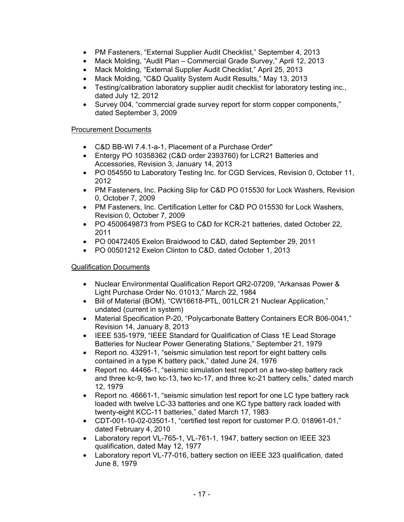- PM Fasteners, "External Supplier Audit Checklist," September 4, 2013
- Mack Molding, "Audit Plan Commercial Grade Survey," April 12, 2013
- Mack Molding, "External Supplier Audit Checklist," April 25, 2013
- Mack Molding, "C&D Quality System Audit Results," May 13, 2013
- Testing/calibration laboratory supplier audit checklist for laboratory testing inc., dated July 12, 2012
- Survey 004, "commercial grade survey report for storm copper components," dated September 3, 2009

#### Procurement Documents

- C&D BB-WI 7.4.1-a-1, Placement of a Purchase Order"
- Entergy PO 10358362 (C&D order 2393760) for LCR21 Batteries and Accessories, Revision 3, January 14, 2013
- PO 054550 to Laboratory Testing Inc. for CGD Services, Revision 0, October 11, 2012
- PM Fasteners, Inc. Packing Slip for C&D PO 015530 for Lock Washers, Revision 0, October 7, 2009
- PM Fasteners, Inc. Certification Letter for C&D PO 015530 for Lock Washers, Revision 0, October 7, 2009
- PO 4500649873 from PSEG to C&D for KCR-21 batteries, dated October 22, 2011
- PO 00472405 Exelon Braidwood to C&D, dated September 29, 2011
- PO 00501212 Exelon Clinton to C&D, dated October 1, 2013

## Qualification Documents

- Nuclear Environmental Qualification Report QR2-07209, "Arkansas Power & Light Purchase Order No. 01013," March 22, 1984
- Bill of Material (BOM), "CW16618-PTL, 001LCR 21 Nuclear Application," undated (current in system)
- Material Specification P-20, "Polycarbonate Battery Containers ECR B06-0041," Revision 14, January 8, 2013
- IEEE 535-1979, "IEEE Standard for Qualification of Class 1E Lead Storage Batteries for Nuclear Power Generating Stations," September 21, 1979
- Report no. 43291-1, "seismic simulation test report for eight battery cells contained in a type K battery pack," dated June 24, 1976
- Report no. 44466-1, "seismic simulation test report on a two-step battery rack and three kc-9, two kc-13, two kc-17, and three kc-21 battery cells," dated march 12, 1979
- Report no. 46661-1, "seismic simulation test report for one LC type battery rack loaded with twelve LC-33 batteries and one KC type battery rack loaded with twenty-eight KCC-11 batteries," dated March 17, 1983
- CDT-001-10-02-03501-1, "certified test report for customer P.O. 018961-01," dated February 4, 2010
- Laboratory report VL-765-1, VL-761-1, 1947, battery section on IEEE 323 qualification, dated May 12, 1977
- Laboratory report VL-77-016, battery section on IEEE 323 qualification, dated June 8, 1979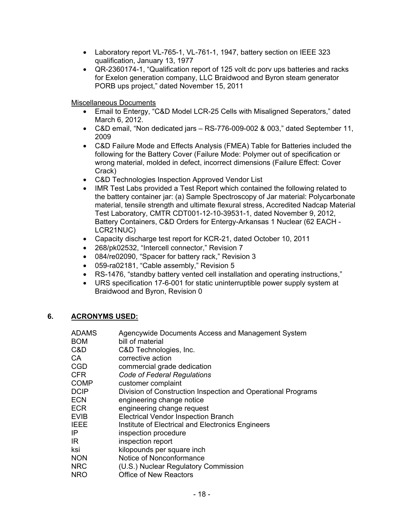- Laboratory report VL-765-1, VL-761-1, 1947, battery section on IEEE 323 qualification, January 13, 1977
- QR-2360174-1, "Qualification report of 125 volt dc porv ups batteries and racks for Exelon generation company, LLC Braidwood and Byron steam generator PORB ups project," dated November 15, 2011

Miscellaneous Documents

- Email to Entergy, "C&D Model LCR-25 Cells with Misaligned Seperators," dated March 6, 2012.
- C&D email, "Non dedicated jars RS-776-009-002 & 003," dated September 11, 2009
- C&D Failure Mode and Effects Analysis (FMEA) Table for Batteries included the following for the Battery Cover (Failure Mode: Polymer out of specification or wrong material, molded in defect, incorrect dimensions (Failure Effect: Cover Crack)
- C&D Technologies Inspection Approved Vendor List
- IMR Test Labs provided a Test Report which contained the following related to the battery container jar: (a) Sample Spectroscopy of Jar material: Polycarbonate material, tensile strength and ultimate flexural stress, Accredited Nadcap Material Test Laboratory, CMTR CDT001-12-10-39531-1, dated November 9, 2012, Battery Containers, C&D Orders for Entergy-Arkansas 1 Nuclear (62 EACH - LCR21NUC)
- Capacity discharge test report for KCR-21, dated October 10, 2011
- 268/pk02532, "Intercell connector," Revision 7
- 084/re02090, "Spacer for battery rack," Revision 3
- 059-ra02181, "Cable assembly," Revision 5
- RS-1476, "standby battery vented cell installation and operating instructions,"
- URS specification 17-6-001 for static uninterruptible power supply system at Braidwood and Byron, Revision 0

## **6. ACRONYMS USED:**

| ADAMS       | Agencywide Documents Access and Management System            |
|-------------|--------------------------------------------------------------|
| BOM         | bill of material                                             |
| C&D         | C&D Technologies, Inc.                                       |
| СA          | corrective action                                            |
| CGD         | commercial grade dedication                                  |
| <b>CFR</b>  | Code of Federal Regulations                                  |
| COMP        | customer complaint                                           |
| <b>DCIP</b> | Division of Construction Inspection and Operational Programs |
| ECN         | engineering change notice                                    |
| ECR         | engineering change request                                   |
| EVIB        | <b>Electrical Vendor Inspection Branch</b>                   |
| <b>IEEE</b> | Institute of Electrical and Electronics Engineers            |
| IP          | inspection procedure                                         |
| IR          | inspection report                                            |
| ksi         | kilopounds per square inch                                   |
| <b>NON</b>  | Notice of Nonconformance                                     |
| NRC         | (U.S.) Nuclear Regulatory Commission                         |
| NRO         | <b>Office of New Reactors</b>                                |